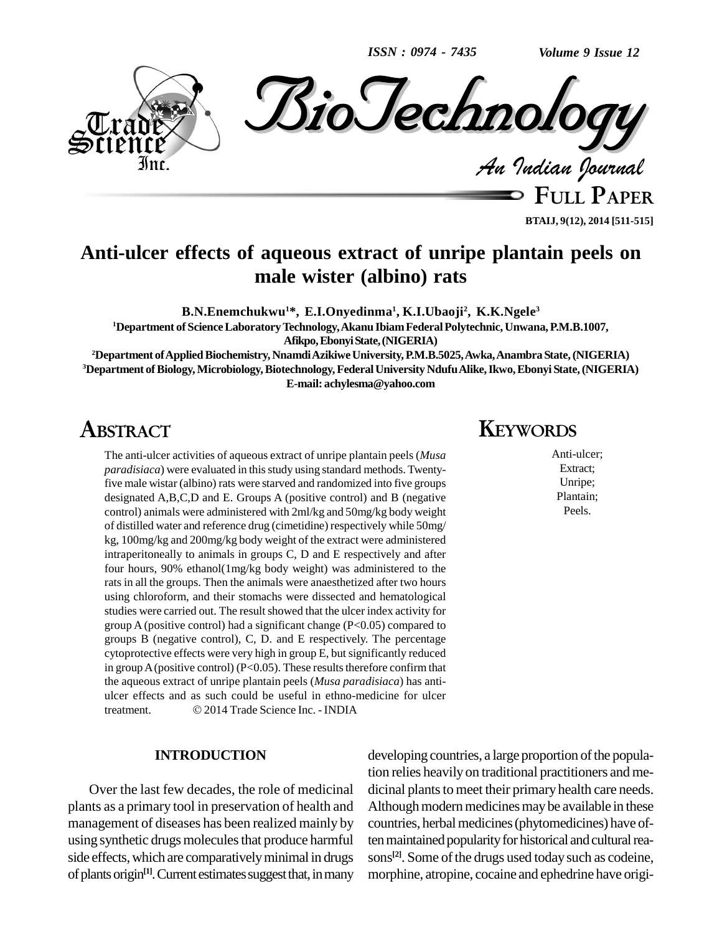*ISSN : 0974 - 7435*

*Volume 9 Issue 12*



**FULL PAPER BTAIJ, 9(12), 2014 [511-515]**

## **Anti-ulcer effects of aqueous extract of unripe plantain peels on male wister (albino) rats**

**B.N.Enemchukwu <sup>1</sup>\*, E.I.Onyedinma 1 , K.I.Ubaoji<sup>2</sup> , K.K.Ngele 3**

**<sup>1</sup>Department of ScienceLaboratoryTechnology,Akanu IbiamFederalPolytechnic, Unwana,P.M.B.1007, Afikpo,EbonyiState,(NIGERIA)**

**<sup>2</sup>Department ofAppliedBiochemistry, NnamdiAzikiweUniversity,P.M.B.5025,Awka,AnambraState,(NIGERIA) <sup>3</sup>Department ofBiology,Microbiology,Biotechnology,FederalUniversity NdufuAlike,Ikwo,Ebonyi State,(NIGERIA) E-mail: [achylesma@yahoo.com](mailto:achylesma@yahoo.com)**

## **ABSTRACT**

The anti-ulcer activities of aqueous extract of unripe plantain peels (*Musa paradisiaca*) were evaluated in this study using standard methods. Twentyfive male wistar (albino) rats were starved and randomized into five groups designated A,B,C,D and E. Groups A (positive control) and B (negative control) animals were administered with 2ml/kg and 50mg/kg body weight of distilled water and reference drug (cimetidine) respectively while 50mg/ kg, 100mg/kg and 200mg/kg body weight of the extract were administered intraperitoneally to animals in groups C, D and E respectively and after four hours, 90% ethanol(1mg/kg body weight) was administered to the rats in all the groups. Then the animals were anaesthetized after two hours using chloroform, and their stomachs were dissected and hematological studies were carried out. The result showed that the ulcer index activity for group A (positive control) had a significant change  $(P<0.05)$  compared to groups B (negative control), C, D. and E respectively. The percentage cytoprotective effects were very high in group E, but significantly reduced in group A (positive control) (P<0.05). These results therefore confirm that the aqueous extract of unripe plantain peels (*Musa paradisiaca*) has anti-<br>ulcer effects and as such could be useful in ethno-medicine for ulcer<br>treatment. 2014 Trade Science Inc. - INDIA ulcer effects and as such could be useful in ethno-medicine for ulcer

### **INTRODUCTION**

Over the last few decades, the role of medicinal plants as a primary tool in preservation of health and management of diseases has been realized mainly by using synthetic drugs molecules that produce harmful side effects, which are comparatively minimal in drugs of plants origin<sup>[1]</sup>. Current estimates suggest that, in many morphi

### **KEYWORDS**

Anti-ulcer; Extract; Unripe; Plantain; Peels.

developing countries, a large proportion of the population relies heavily on traditional practitioners and me dicinal plants to meet their primary health care needs. Although modern medicines may be available in these countries, herbal medicines (phytomedicines) have often maintained popularity for historical and cultural reasons<sup>[2]</sup>. Some of the drugs used today such as codeine, morphine, atropine, cocaine and ephedrine have origi-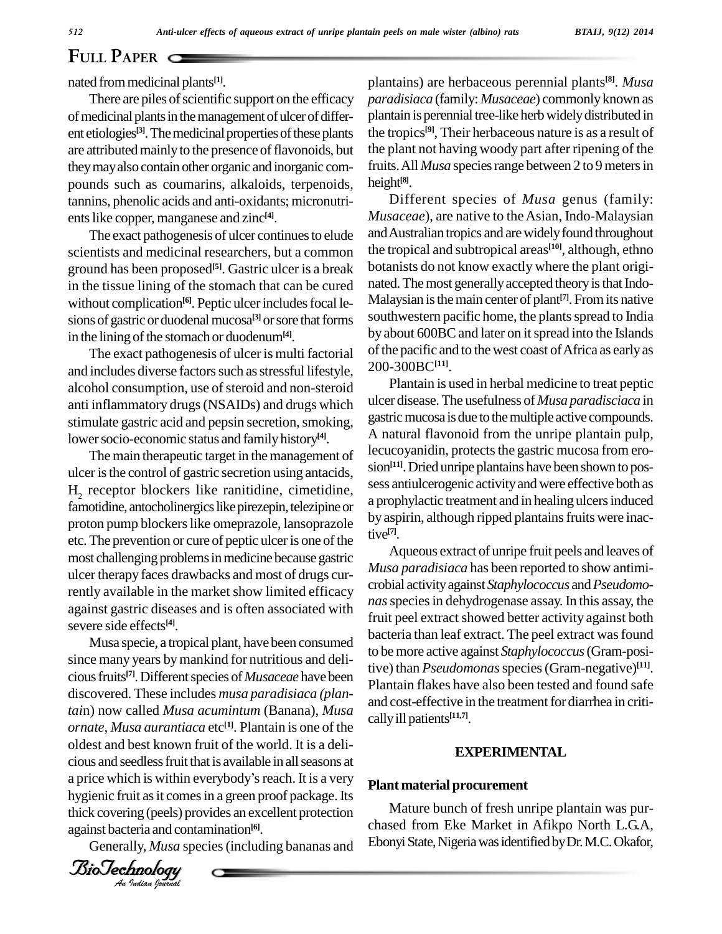# **FULL PAPER**

nated frommedicinal plants **[1]**.

There are piles of scientific support on the efficacy of medicinal plants in the management of ulcer of different etiologies<sup>[3]</sup>. The medicinal properties of these plants the ti are attributed mainly to the presence of flavonoids, but theymayalso contain other organic and inorganic com pounds such as coumarins, alkaloids, terpenoids, tannins, phenolic acids and anti-oxidants; micronutri ents like copper, manganese and zinc<sup>[4]</sup>.

The exact pathogenesis of ulcer continues to elude scientists and medicinal researchers, but a common ground has been proposed **[5]**. Gastric ulcer is a break in the tissue lining of the stomach that can be cured without complication<sup>[6]</sup>. Peptic ulcer includes focal le-<br> sions of gastric or duodenal mucosa<sup>[3]</sup> or sore that forms south in the lining of the stomach or duodenum<sup>[4]</sup>.

The exact pathogenesis of ulcer is multi factorial and includes diverse factors such as stressful lifestyle, alcohol consumption, use of steroid and non-steroid anti inflammatory drugs(NSAIDs) and drugs which stimulate gastric acid and pepsin secretion, smoking, lower socio-economic status and family history<sup>[4]</sup>.

The main therapeutic target in the management of ulcer isthe control of gastric secretion using antacids,  $H<sub>2</sub>$  receptor blockers like ranitidine, cimetidine, famotidine, antocholinergics like pirezepin, telezipine or proton pump blockers like omeprazole, lansoprazole etc. The prevention or cure of peptic ulcer is one of the most challenging problems in medicine because gastric ulcer therapy faces drawbacks and most of drugs currently available in the market show limited efficacy against gastric diseases and is often associated with severe side effects **[4]**.

ornate, Musa aurantiaca etc<sup>in</sup>. Plantain is one of the<br>oldest and best known fruit of the world. It is a delioldest and best known fruit of the world. It is a delicious and seedless fruit that is available in all seasons at a price which is within everybody's reach. It is a very Musa specie, a tropical plant, have been consumed since many years by mankind for nutritious and delicious fruits<sup>[7]</sup>. Different species of *Musaceae* have been plantsi discovered. These includes *musa paradisiaca (plantai*n) now called *Musa acumintum* (Banana), *Musa ornate, Musa aurantiaca* etc<sup>[1]</sup>. Plantain is one of the cious and seedless fruit that is available in all seasons at hygienic fruit as it comes in a green proof package. Its thick covering (peels) provides an excellent protection against bacteria and contamination **[6]**.

Generally, *Musa* species(including bananas and

*<i>BioTechnology*<br>*An Indian Yourual* 

plantains) are herbaceous perennial plants **[8]**. *Musa paradisiaca* (family: *Musaceae*) commonlyknown as plantain is perennial tree-like herb widely distributed in the tropics **[9]**, Their herbaceous nature is as a result of the plant not having woody part after ripening of the fruits. All *Musa* species range between 2 to 9 meters in height **[8]**.

Different species of *Musa* genus (family: *Musaceae*), are native to the Asian, Indo-Malaysian andAustralian tropics and arewidelyfound throughout the tropical and subtropical areas **[10]**, although, ethno botanists do not know exactly where the plant origi nated. The most generally accepted theory is that Indo-Malaysian isthemain center of plant **[7]**. Fromits native southwestern pacific home, the plants spread to India by about 600BC and later on it spread into the Islands of the pacific and to the west coast of Africa as early as 200-300BC**[11]**.

Plantain is used in herbal medicine to treat peptic ulcer disease.The usefulness of *Musa paradisciaca* in gastric mucosa is due to the multiple active compounds. A natural flavonoid from the unripe plantain pulp, lecucoyanidin, protects the gastric mucosa from erosion **[11]**.Dried unripe plantains have been shown to pos sess antiulcerogenic activityand were effective both as a prophylactic treatment and in healing ulcers induced by aspirin, although ripped plantains fruits were inactive **[7]**.

Aqueous extract of unripe fruit peels and leaves of *Musa paradisiaca* has been reported to show antimi crobial activityagainst *Staphylococcus* and*Pseudomo nas*speciesin dehydrogenase assay. In this assay, the fruit peel extract showed better activity against both bacteria than leaf extract. The peel extract was found to bemore active against *Staphylococcus*(Gram-positive) than *Pseudomonas*species(Gram-negative) **[11]**. Plantain flakes have also been tested and found safe and cost-effective in the treatment for diarrhea in criticallyill patients **[11,7]**.

#### **EXPERIMENTAL**

#### **Plant material procurement**

Mature bunch of fresh unripe plantain was pur chased from Eke Market in Afikpo North L.G.A, Ebonyi State, Nigeria was identified by Dr. M.C. Okafor,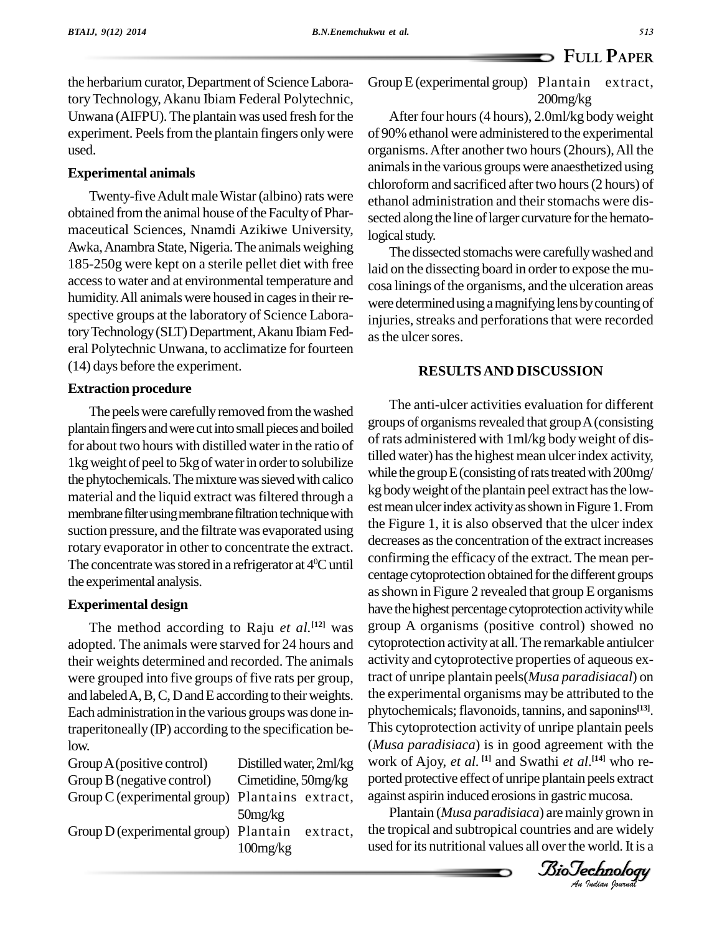the herbarium curator, Department of Science LaboratoryTechnology,Akanu Ibiam Federal Polytechnic, Unwana (AIFPU). The plantain was used fresh for the experiment. Peels from the plantain fingers only were used.

#### **Experimental animals**

Twenty-five Adult male Wistar (albino) rats were obtained from the animal house of the Faculty of Pharmaceutical Sciences, Nnamdi Azikiwe University, Awka, Anambra State, Nigeria. The animals weighing 185-250g were kept on a sterile pellet diet with free accessto water and at environmental temperature and humidity. All animals were housed in cages in their respective groups at the laboratory of Science Laboratory Technology (SLT) Department, Akanu Ibiam Federal Polytechnic Unwana, to acclimatize for fourteen (14) days before the experiment.

#### **Extraction procedure**

The peels were carefully removed from the washed plantain fingers and were cut into small pieces and boiled for about two hours with distilled water in the ratio of 1kg weight of peel to 5kg of water in order to solubilize the phytochemicals. The mixture was sieved with calico material and the liquid extract was filtered through a membrane filter using membrane filtration technique with suction pressure, and the filtrate was evaporated using rotary evaporator in other to concentrate the extract. The concentrate was stored in a refrigerator at  $4^{\circ}$ C until  $\sim$ the experimental analysis.

#### **Experimental design**

The method according to Raju *et al.* **[12]** was adopted. The animals were starved for 24 hours and their weights determined and recorded. The animals were grouped into five groups of five rats per group, and labeled A, B, C, D and E according to their weights. Each administration in the various groupswas done intraperitoneally (IP) according to the specification below.

| Group A (positive control)                        | Distilled water, 2ml/kg | work o   |
|---------------------------------------------------|-------------------------|----------|
| Group B (negative control)                        | Cimetidine, $50mg/kg$   | ported   |
| Group $C$ (experimental group) Plantains extract, |                         | against  |
|                                                   | 50mg/kg                 | Pla      |
| Group D (experimental group) Plantain             | extract,                | the trop |
|                                                   | 100mg/kg                | used fo  |
|                                                   |                         |          |

GroupE(experimental group) Plantain extract, 200mg/kg

After four hours(4 hours), 2.0ml/kg bodyweight of 90% ethanol were administered to the experimental organisms.After another two hours(2hours),All the animals in the various groups were anaesthetized using chloroform and sacrificed after two hours (2 hours) of ethanol administration and their stomachs were dissected along the line of larger curvature for the hematological study.

The dissected stomachswere carefullywashed and laid on the dissecting board in order to expose the mucosa linings of the organisms, and the ulceration areas were determined using a magnifying lens by counting of injuries, streaks and perforations that were recorded as the ulcer sores.

#### **RESULTSAND DISCUSSION**

I his cytoprotection activity or unripe plantain peels<br>(*Musa paradisiaca*) is in good agreement with the *An*ported protective effect of unripe plantain peels extract The anti-ulcer activities evaluation for different groups of organisms revealed that group  $A$  (consisting of rats administered with 1ml/kg bodyweight of distilled water) has the highest mean ulcer index activity, while the group  $E$  (consisting of rats treated with 200mg/ kg body weight of the plantain peel extract has the lowest mean ulcer index activity as shown in Figure 1. From the Figure 1, it is also observed that the ulcer index decreases as the concentration of the extract increases confirming the efficacy of the extract. The mean per centage cytoprotection obtained for the different groups as shown in Figure 2 revealed that group E organisms have the highest percentage cytoprotection activity while group A organisms (positive control) showed no cytoprotection activityat all.The remarkable antiulcer activity and cytoprotective properties of aqueous extract of unripe plantain peels(*Musa paradisiacal*) on the experimental organisms may be attributed to the phytochemicals;flavonoids, tannins, and saponins **[13]**. This cytoprotection activity of unripe plantain peels work of Ajoy, *et al.* **[1]** and Swathi *et al*. **[14]** who re against aspirin induced erosions in gastric mucosa.

Plantain (*Musa paradisiaca*) aremainly grown in the tropical and subtropical countries and are widely used for its nutritional values all over the world. It is a

*Indian Journal*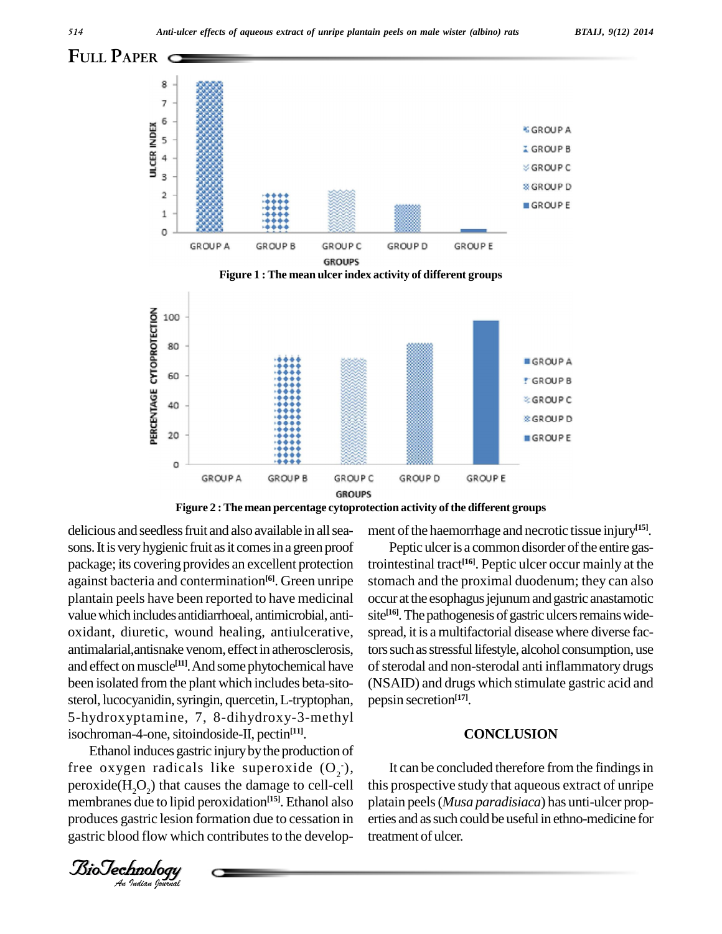







**Figure 2 :The mean percentage cytoprotection activity ofthe different groups**

isochroman-4-one, sitoindoside-II, pectin<sup>[11]</sup>. delicious and seedless fruit and also available in all seasons. It is very hygienic fruit as it comes in a green proof package; its covering provides an excellent protection against bacteria and contermination<sup>[6]</sup>. Green unripe stoma plantain peels have been reported to have medicinal value which includes antidiarrhoeal, antimicrobial, antioxidant, diuretic, wound healing, antiulcerative, antimalarial,antisnake venom, effect in atherosclerosis, and effect on muscle<sup>[11]</sup>. And some phytochemical have of ster been isolated from the plant which includes beta-sito sterol, lucocyanidin, syringin, quercetin, L-tryptophan, 5-hydroxyptamine, 7, 8-dihydroxy-3-methyl

 $\text{peroxide}(H_2O_2)$  that causes the damage to cell-cell this Ethanol induces gastric injurybythe production of free oxygen radicals like superoxide  $(O_2^-)$ , membranes due to lipid peroxidation **[15]**. Ethanol also produces gastric lesion formation due to cessation in gastric blood flow which contributes to the develop-

ment of the haemorrhage and necrotic tissue injury<sup>[15]</sup>.

Peptic ulcer is a common disorder of the entire gastrointestinal tract **[16]**. Peptic ulcer occur mainly at the stomach and the proximal duodenum; they can also occur at the esophagus jejunum and gastric anastamotic site<sup>[16]</sup>. The pathogenesis of gastric ulcers remains widespread, it is a multifactorial disease where diverse factors such as stressful lifestyle, alcohol consumption, use of sterodal and non-sterodal anti inflammatory drugs (NSAID) and drugs which stimulate gastric acid and pepsin secretion **[17]**.

#### **CONCLUSION**

It can be concluded therefore from the findings in this prospective study that aqueous extract of unripe platain peels(*Musa paradisiaca*) has unti-ulcer prop erties and as such could be useful in ethno-medicine for treatment of ulcer.

*Indian Journal*